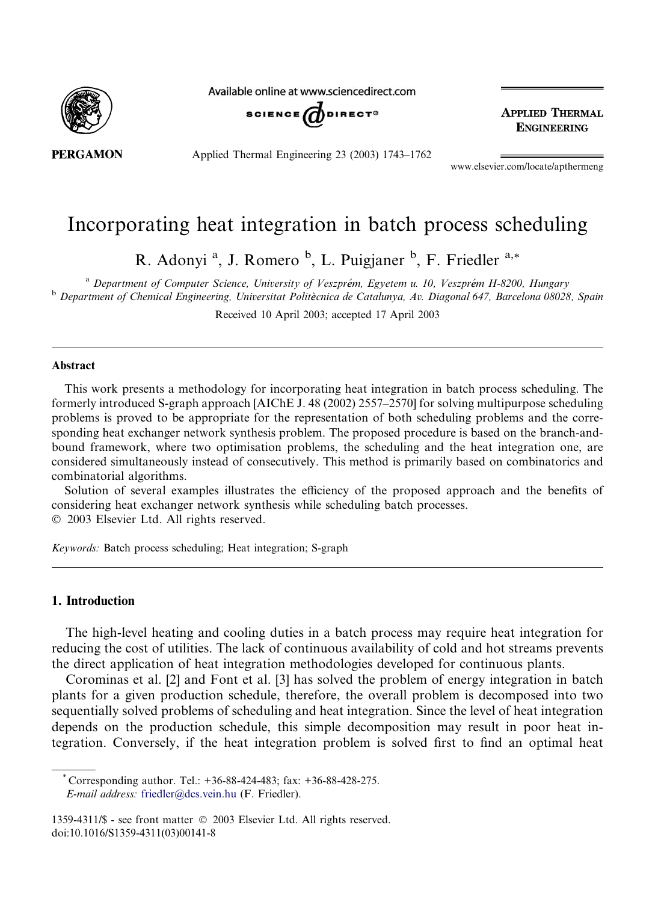

Available online at www.sciencedirect.com



**APPLIED THERMAL ENGINEERING** 

**PERGAMON** 

Applied Thermal Engineering 23 (2003) 1743–1762

www.elsevier.com/locate/apthermeng

# Incorporating heat integration in batch process scheduling

R. Adonyi<sup>a</sup>, J. Romero<sup>b</sup>, L. Puigjaner<sup>b</sup>, F. Friedler<sup>a,\*</sup>

<sup>a</sup> Department of Computer Science, University of Veszprém, Egyetem u. 10, Veszprém H-8200, Hungary<br><sup>b</sup> Department of Chemical Engineering, Universitat Politècnica de Catalunya, Av. Diagonal 647, Barcelona 08028, Spain

Received 10 April 2003; accepted 17 April 2003

### Abstract

This work presents a methodology for incorporating heat integration in batch process scheduling. The formerly introduced S-graph approach [AIChE J. 48 (2002) 2557–2570] for solving multipurpose scheduling problems is proved to be appropriate for the representation of both scheduling problems and the corresponding heat exchanger network synthesis problem. The proposed procedure is based on the branch-andbound framework, where two optimisation problems, the scheduling and the heat integration one, are considered simultaneously instead of consecutively. This method is primarily based on combinatorics and combinatorial algorithms.

Solution of several examples illustrates the efficiency of the proposed approach and the benefits of considering heat exchanger network synthesis while scheduling batch processes.

2003 Elsevier Ltd. All rights reserved.

Keywords: Batch process scheduling; Heat integration; S-graph

# 1. Introduction

The high-level heating and cooling duties in a batch process may require heat integration for reducing the cost of utilities. The lack of continuous availability of cold and hot streams prevents the direct application of heat integration methodologies developed for continuous plants.

Corominas et al. [2] and Font et al. [3] has solved the problem of energy integration in batch plants for a given production schedule, therefore, the overall problem is decomposed into two sequentially solved problems of scheduling and heat integration. Since the level of heat integration depends on the production schedule, this simple decomposition may result in poor heat integration. Conversely, if the heat integration problem is solved first to find an optimal heat

\* Corresponding author. Tel.:  $+36-88-424-483$ ; fax:  $+36-88-428-275$ . E-mail address: [friedler@dcs.vein.hu](mail to: friedler@dcs.vein.hu) (F. Friedler).

<sup>1359-4311/\$ -</sup> see front matter 2003 Elsevier Ltd. All rights reserved. doi:10.1016/S1359-4311(03)00141-8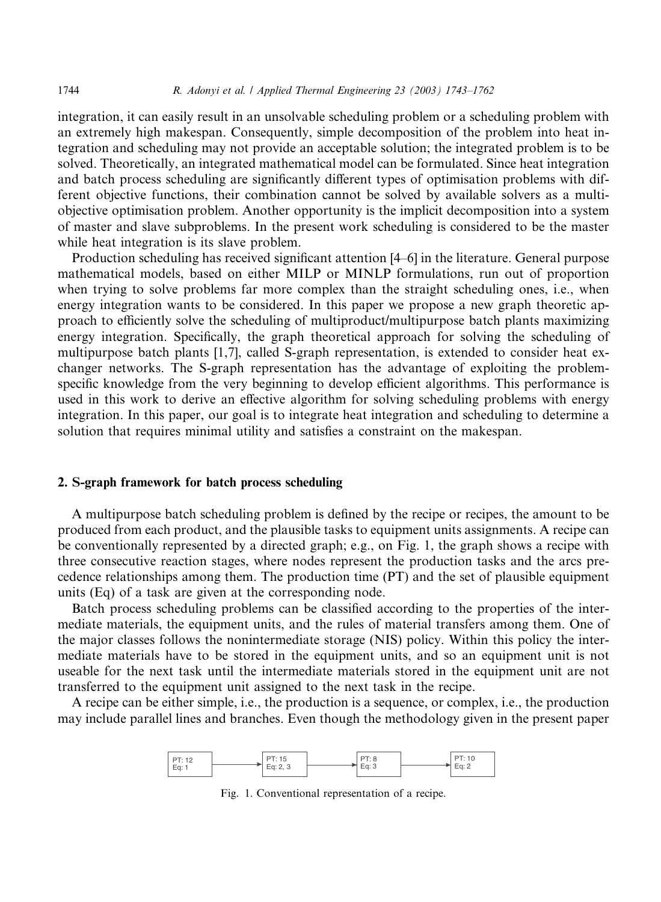integration, it can easily result in an unsolvable scheduling problem or a scheduling problem with an extremely high makespan. Consequently, simple decomposition of the problem into heat integration and scheduling may not provide an acceptable solution; the integrated problem is to be solved. Theoretically, an integrated mathematical model can be formulated. Since heat integration and batch process scheduling are significantly different types of optimisation problems with different objective functions, their combination cannot be solved by available solvers as a multiobjective optimisation problem. Another opportunity is the implicit decomposition into a system of master and slave subproblems. In the present work scheduling is considered to be the master while heat integration is its slave problem.

Production scheduling has received significant attention [4–6] in the literature. General purpose mathematical models, based on either MILP or MINLP formulations, run out of proportion when trying to solve problems far more complex than the straight scheduling ones, i.e., when energy integration wants to be considered. In this paper we propose a new graph theoretic approach to efficiently solve the scheduling of multiproduct/multipurpose batch plants maximizing energy integration. Specifically, the graph theoretical approach for solving the scheduling of multipurpose batch plants [1,7], called S-graph representation, is extended to consider heat exchanger networks. The S-graph representation has the advantage of exploiting the problemspecific knowledge from the very beginning to develop efficient algorithms. This performance is used in this work to derive an effective algorithm for solving scheduling problems with energy integration. In this paper, our goal is to integrate heat integration and scheduling to determine a solution that requires minimal utility and satisfies a constraint on the makespan.

### 2. S-graph framework for batch process scheduling

A multipurpose batch scheduling problem is defined by the recipe or recipes, the amount to be produced from each product, and the plausible tasks to equipment units assignments. A recipe can be conventionally represented by a directed graph; e.g., on Fig. 1, the graph shows a recipe with three consecutive reaction stages, where nodes represent the production tasks and the arcs precedence relationships among them. The production time (PT) and the set of plausible equipment units (Eq) of a task are given at the corresponding node.

Batch process scheduling problems can be classified according to the properties of the intermediate materials, the equipment units, and the rules of material transfers among them. One of the major classes follows the nonintermediate storage (NIS) policy. Within this policy the intermediate materials have to be stored in the equipment units, and so an equipment unit is not useable for the next task until the intermediate materials stored in the equipment unit are not transferred to the equipment unit assigned to the next task in the recipe.

A recipe can be either simple, i.e., the production is a sequence, or complex, i.e., the production may include parallel lines and branches. Even though the methodology given in the present paper



Fig. 1. Conventional representation of a recipe.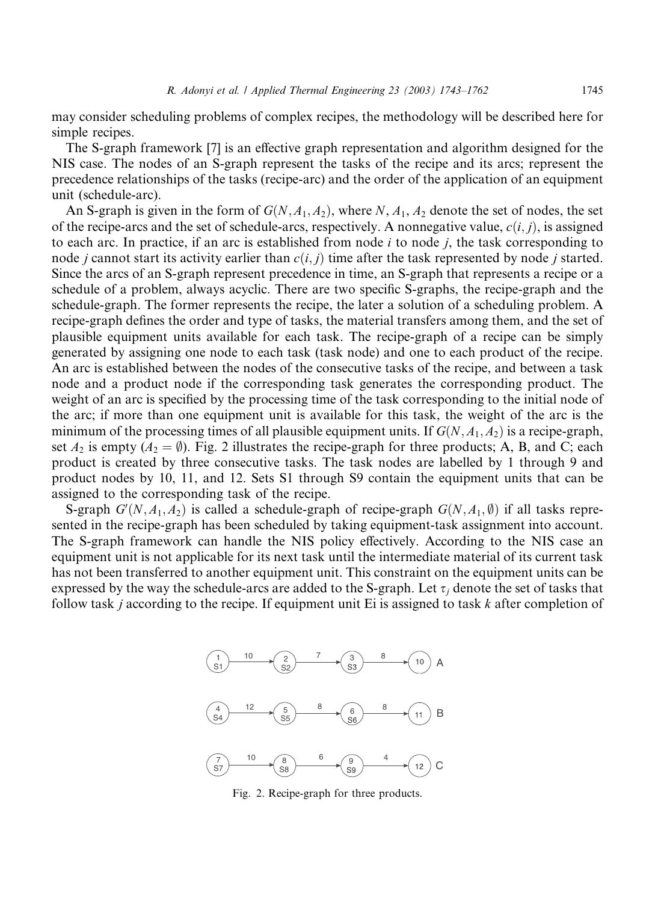may consider scheduling problems of complex recipes, the methodology will be described here for simple recipes.

The S-graph framework [7] is an effective graph representation and algorithm designed for the NIS case. The nodes of an S-graph represent the tasks of the recipe and its arcs; represent the precedence relationships of the tasks (recipe-arc) and the order of the application of an equipment unit (schedule-arc).

An S-graph is given in the form of  $G(N, A_1, A_2)$ , where  $N, A_1, A_2$  denote the set of nodes, the set of the recipe-arcs and the set of schedule-arcs, respectively. A nonnegative value,  $c(i, j)$ , is assigned to each arc. In practice, if an arc is established from node  $i$  to node  $j$ , the task corresponding to node *j* cannot start its activity earlier than  $c(i, j)$  time after the task represented by node *j* started. Since the arcs of an S-graph represent precedence in time, an S-graph that represents a recipe or a schedule of a problem, always acyclic. There are two specific S-graphs, the recipe-graph and the schedule-graph. The former represents the recipe, the later a solution of a scheduling problem. A recipe-graph defines the order and type of tasks, the material transfers among them, and the set of plausible equipment units available for each task. The recipe-graph of a recipe can be simply generated by assigning one node to each task (task node) and one to each product of the recipe. An arc is established between the nodes of the consecutive tasks of the recipe, and between a task node and a product node if the corresponding task generates the corresponding product. The weight of an arc is specified by the processing time of the task corresponding to the initial node of the arc; if more than one equipment unit is available for this task, the weight of the arc is the minimum of the processing times of all plausible equipment units. If  $G(N, A<sub>1</sub>, A<sub>2</sub>)$  is a recipe-graph, set  $A_2$  is empty  $(A_2 = \emptyset)$ . Fig. 2 illustrates the recipe-graph for three products; A, B, and C; each product is created by three consecutive tasks. The task nodes are labelled by 1 through 9 and product nodes by 10, 11, and 12. Sets S1 through S9 contain the equipment units that can be assigned to the corresponding task of the recipe.

S-graph  $G'(N, A_1, A_2)$  is called a schedule-graph of recipe-graph  $G(N, A_1, \emptyset)$  if all tasks represented in the recipe-graph has been scheduled by taking equipment-task assignment into account. The S-graph framework can handle the NIS policy effectively. According to the NIS case an equipment unit is not applicable for its next task until the intermediate material of its current task has not been transferred to another equipment unit. This constraint on the equipment units can be expressed by the way the schedule-arcs are added to the S-graph. Let  $\tau_i$  denote the set of tasks that follow task j according to the recipe. If equipment unit Ei is assigned to task k after completion of



Fig. 2. Recipe-graph for three products.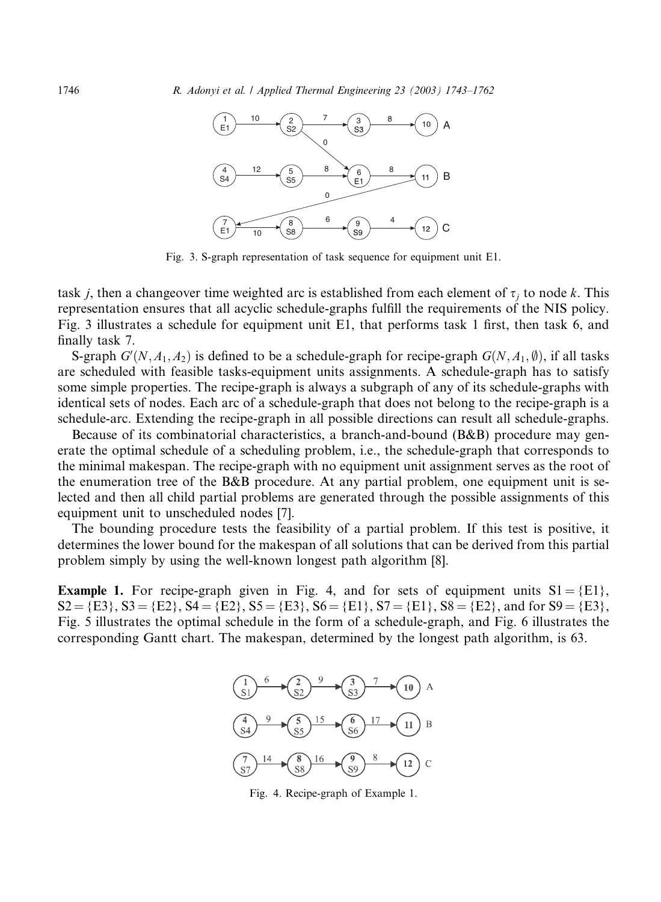

Fig. 3. S-graph representation of task sequence for equipment unit E1.

task *j*, then a changeover time weighted arc is established from each element of  $\tau_i$  to node k. This representation ensures that all acyclic schedule-graphs fulfill the requirements of the NIS policy. Fig. 3 illustrates a schedule for equipment unit E1, that performs task 1 first, then task 6, and finally task 7.

S-graph  $G'(N, A_1, A_2)$  is defined to be a schedule-graph for recipe-graph  $G(N, A_1, \emptyset)$ , if all tasks are scheduled with feasible tasks-equipment units assignments. A schedule-graph has to satisfy some simple properties. The recipe-graph is always a subgraph of any of its schedule-graphs with identical sets of nodes. Each arc of a schedule-graph that does not belong to the recipe-graph is a schedule-arc. Extending the recipe-graph in all possible directions can result all schedule-graphs.

Because of its combinatorial characteristics, a branch-and-bound (B&B) procedure may generate the optimal schedule of a scheduling problem, i.e., the schedule-graph that corresponds to the minimal makespan. The recipe-graph with no equipment unit assignment serves as the root of the enumeration tree of the B&B procedure. At any partial problem, one equipment unit is selected and then all child partial problems are generated through the possible assignments of this equipment unit to unscheduled nodes [7].

The bounding procedure tests the feasibility of a partial problem. If this test is positive, it determines the lower bound for the makespan of all solutions that can be derived from this partial problem simply by using the well-known longest path algorithm [8].

**Example 1.** For recipe-graph given in Fig. 4, and for sets of equipment units  $SI = \{E1\}$ ,  $S2 = {E3}$ ,  $S3 = {E2}$ ,  $S4 = {E2}$ ,  $S5 = {E3}$ ,  $S6 = {E1}$ ,  $S7 = {E1}$ ,  $S8 = {E2}$ , and for  $S9 = {E3}$ , Fig. 5 illustrates the optimal schedule in the form of a schedule-graph, and Fig. 6 illustrates the corresponding Gantt chart. The makespan, determined by the longest path algorithm, is 63.



Fig. 4. Recipe-graph of Example 1.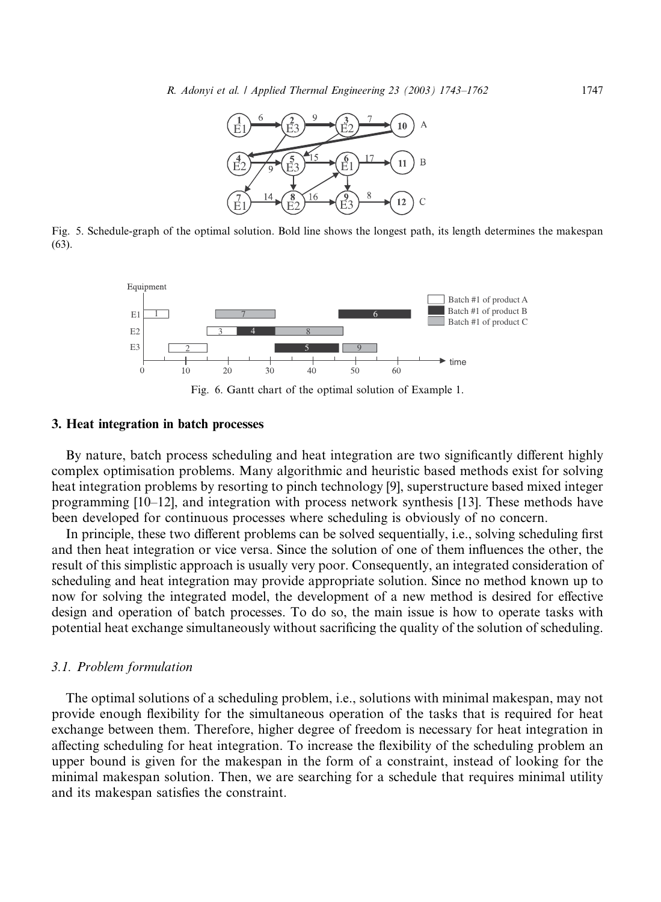

Fig. 5. Schedule-graph of the optimal solution. Bold line shows the longest path, its length determines the makespan (63).



Fig. 6. Gantt chart of the optimal solution of Example 1.

# 3. Heat integration in batch processes

By nature, batch process scheduling and heat integration are two significantly different highly complex optimisation problems. Many algorithmic and heuristic based methods exist for solving heat integration problems by resorting to pinch technology [9], superstructure based mixed integer programming [10–12], and integration with process network synthesis [13]. These methods have been developed for continuous processes where scheduling is obviously of no concern.

In principle, these two different problems can be solved sequentially, i.e., solving scheduling first and then heat integration or vice versa. Since the solution of one of them influences the other, the result of this simplistic approach is usually very poor. Consequently, an integrated consideration of scheduling and heat integration may provide appropriate solution. Since no method known up to now for solving the integrated model, the development of a new method is desired for effective design and operation of batch processes. To do so, the main issue is how to operate tasks with potential heat exchange simultaneously without sacrificing the quality of the solution of scheduling.

### 3.1. Problem formulation

The optimal solutions of a scheduling problem, i.e., solutions with minimal makespan, may not provide enough flexibility for the simultaneous operation of the tasks that is required for heat exchange between them. Therefore, higher degree of freedom is necessary for heat integration in affecting scheduling for heat integration. To increase the flexibility of the scheduling problem an upper bound is given for the makespan in the form of a constraint, instead of looking for the minimal makespan solution. Then, we are searching for a schedule that requires minimal utility and its makespan satisfies the constraint.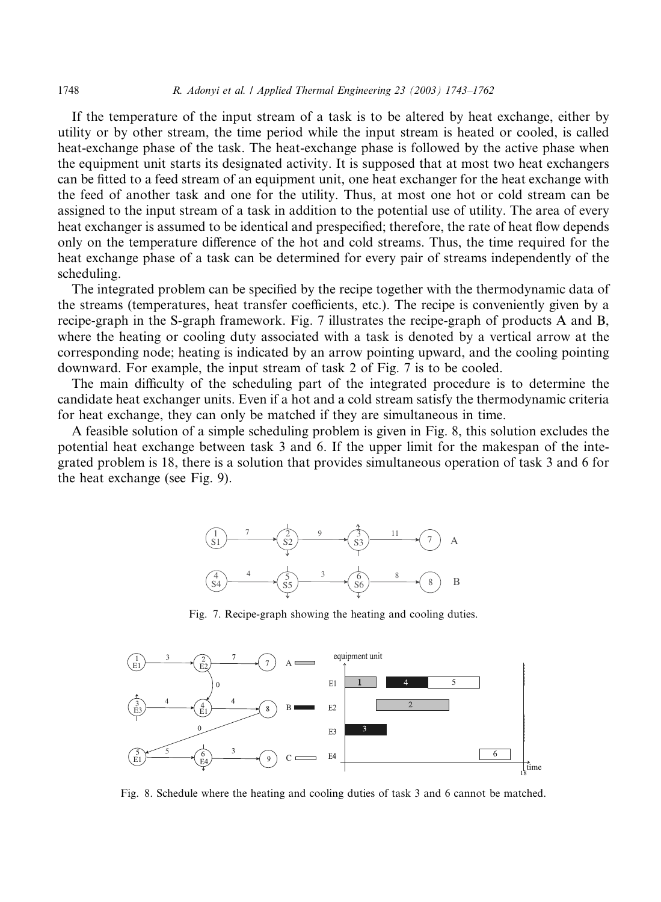#### 1748 R. Adonyi et al. / Applied Thermal Engineering 23 (2003) 1743–1762

If the temperature of the input stream of a task is to be altered by heat exchange, either by utility or by other stream, the time period while the input stream is heated or cooled, is called heat-exchange phase of the task. The heat-exchange phase is followed by the active phase when the equipment unit starts its designated activity. It is supposed that at most two heat exchangers can be fitted to a feed stream of an equipment unit, one heat exchanger for the heat exchange with the feed of another task and one for the utility. Thus, at most one hot or cold stream can be assigned to the input stream of a task in addition to the potential use of utility. The area of every heat exchanger is assumed to be identical and prespecified; therefore, the rate of heat flow depends only on the temperature difference of the hot and cold streams. Thus, the time required for the heat exchange phase of a task can be determined for every pair of streams independently of the scheduling.

The integrated problem can be specified by the recipe together with the thermodynamic data of the streams (temperatures, heat transfer coefficients, etc.). The recipe is conveniently given by a recipe-graph in the S-graph framework. Fig. 7 illustrates the recipe-graph of products A and B, where the heating or cooling duty associated with a task is denoted by a vertical arrow at the corresponding node; heating is indicated by an arrow pointing upward, and the cooling pointing downward. For example, the input stream of task 2 of Fig. 7 is to be cooled.

The main difficulty of the scheduling part of the integrated procedure is to determine the candidate heat exchanger units. Even if a hot and a cold stream satisfy the thermodynamic criteria for heat exchange, they can only be matched if they are simultaneous in time.

A feasible solution of a simple scheduling problem is given in Fig. 8, this solution excludes the potential heat exchange between task 3 and 6. If the upper limit for the makespan of the integrated problem is 18, there is a solution that provides simultaneous operation of task 3 and 6 for the heat exchange (see Fig. 9).



Fig. 7. Recipe-graph showing the heating and cooling duties.



Fig. 8. Schedule where the heating and cooling duties of task 3 and 6 cannot be matched.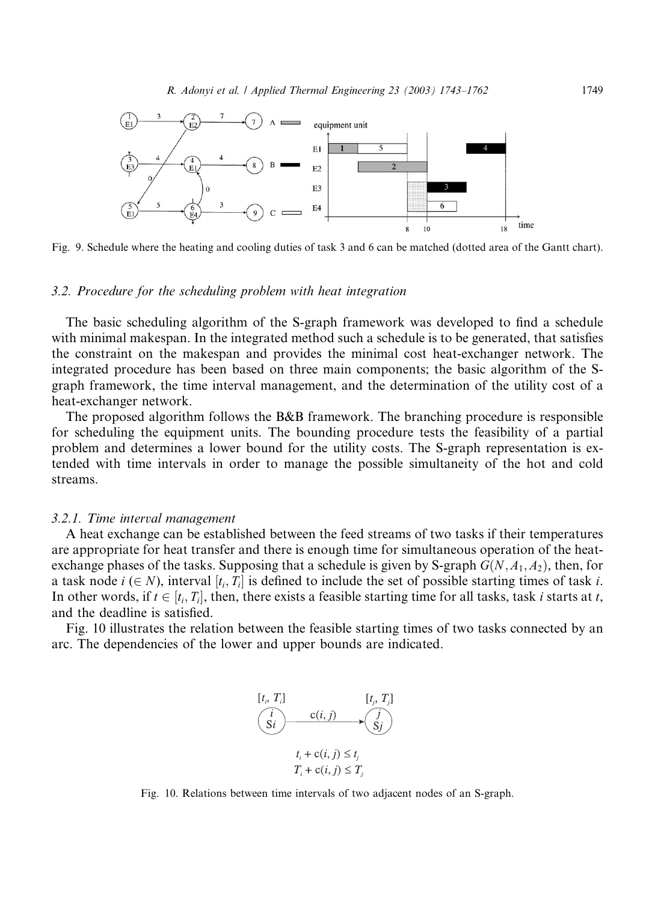

Fig. 9. Schedule where the heating and cooling duties of task 3 and 6 can be matched (dotted area of the Gantt chart).

# 3.2. Procedure for the scheduling problem with heat integration

The basic scheduling algorithm of the S-graph framework was developed to find a schedule with minimal makespan. In the integrated method such a schedule is to be generated, that satisfies the constraint on the makespan and provides the minimal cost heat-exchanger network. The integrated procedure has been based on three main components; the basic algorithm of the Sgraph framework, the time interval management, and the determination of the utility cost of a heat-exchanger network.

The proposed algorithm follows the B&B framework. The branching procedure is responsible for scheduling the equipment units. The bounding procedure tests the feasibility of a partial problem and determines a lower bound for the utility costs. The S-graph representation is extended with time intervals in order to manage the possible simultaneity of the hot and cold streams.

#### 3.2.1. Time interval management

A heat exchange can be established between the feed streams of two tasks if their temperatures are appropriate for heat transfer and there is enough time for simultaneous operation of the heatexchange phases of the tasks. Supposing that a schedule is given by S-graph  $G(N, A<sub>1</sub>, A<sub>2</sub>)$ , then, for a task node  $i \in N$ , interval  $[t_i, T_i]$  is defined to include the set of possible starting times of task i. In other words, if  $t \in [t_i, T_i]$ , then, there exists a feasible starting time for all tasks, task i starts at t, and the deadline is satisfied.

Fig. 10 illustrates the relation between the feasible starting times of two tasks connected by an arc. The dependencies of the lower and upper bounds are indicated.



Fig. 10. Relations between time intervals of two adjacent nodes of an S-graph.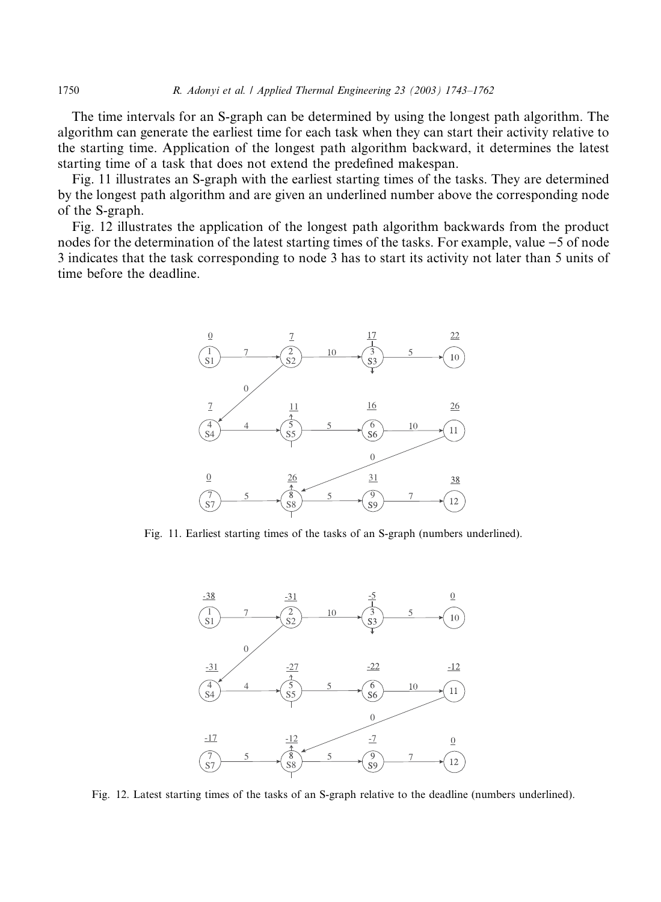The time intervals for an S-graph can be determined by using the longest path algorithm. The algorithm can generate the earliest time for each task when they can start their activity relative to the starting time. Application of the longest path algorithm backward, it determines the latest starting time of a task that does not extend the predefined makespan.

Fig. 11 illustrates an S-graph with the earliest starting times of the tasks. They are determined by the longest path algorithm and are given an underlined number above the corresponding node of the S-graph.

Fig. 12 illustrates the application of the longest path algorithm backwards from the product nodes for the determination of the latest starting times of the tasks. For example, value  $-5$  of node 3 indicates that the task corresponding to node 3 has to start its activity not later than 5 units of time before the deadline.



Fig. 11. Earliest starting times of the tasks of an S-graph (numbers underlined).



Fig. 12. Latest starting times of the tasks of an S-graph relative to the deadline (numbers underlined).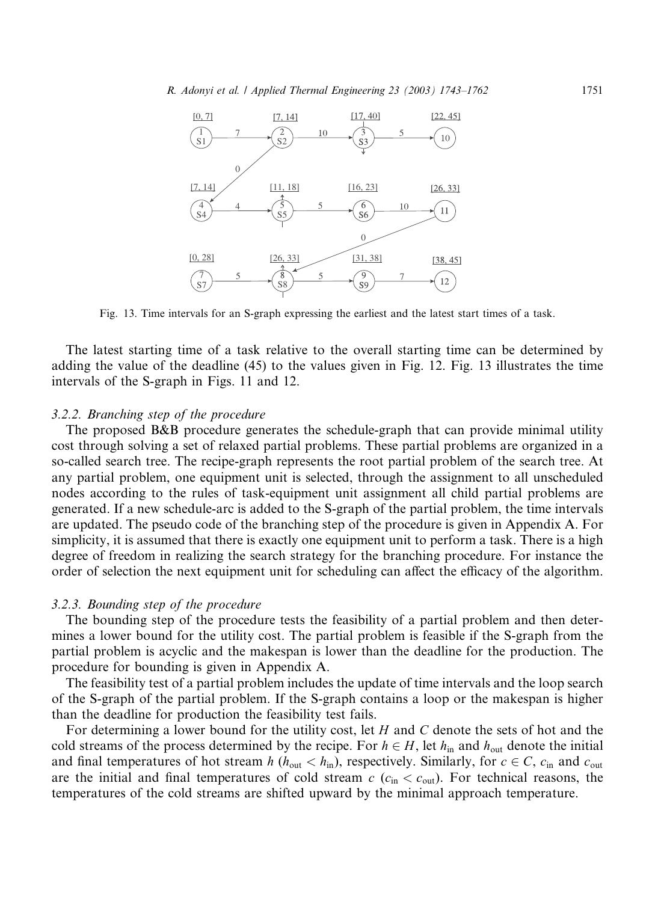

Fig. 13. Time intervals for an S-graph expressing the earliest and the latest start times of a task.

The latest starting time of a task relative to the overall starting time can be determined by adding the value of the deadline (45) to the values given in Fig. 12. Fig. 13 illustrates the time intervals of the S-graph in Figs. 11 and 12.

### 3.2.2. Branching step of the procedure

The proposed B&B procedure generates the schedule-graph that can provide minimal utility cost through solving a set of relaxed partial problems. These partial problems are organized in a so-called search tree. The recipe-graph represents the root partial problem of the search tree. At any partial problem, one equipment unit is selected, through the assignment to all unscheduled nodes according to the rules of task-equipment unit assignment all child partial problems are generated. If a new schedule-arc is added to the S-graph of the partial problem, the time intervals are updated. The pseudo code of the branching step of the procedure is given in Appendix A. For simplicity, it is assumed that there is exactly one equipment unit to perform a task. There is a high degree of freedom in realizing the search strategy for the branching procedure. For instance the order of selection the next equipment unit for scheduling can affect the efficacy of the algorithm.

### 3.2.3. Bounding step of the procedure

The bounding step of the procedure tests the feasibility of a partial problem and then determines a lower bound for the utility cost. The partial problem is feasible if the S-graph from the partial problem is acyclic and the makespan is lower than the deadline for the production. The procedure for bounding is given in Appendix A.

The feasibility test of a partial problem includes the update of time intervals and the loop search of the S-graph of the partial problem. If the S-graph contains a loop or the makespan is higher than the deadline for production the feasibility test fails.

For determining a lower bound for the utility cost, let  $H$  and  $C$  denote the sets of hot and the cold streams of the process determined by the recipe. For  $h \in H$ , let  $h_{in}$  and  $h_{out}$  denote the initial and final temperatures of hot stream h ( $h_{\text{out}} < h_{\text{in}}$ ), respectively. Similarly, for  $c \in C$ ,  $c_{\text{in}}$  and  $c_{\text{out}}$ are the initial and final temperatures of cold stream  $c$  ( $c_{\text{in}} < c_{\text{out}}$ ). For technical reasons, the temperatures of the cold streams are shifted upward by the minimal approach temperature.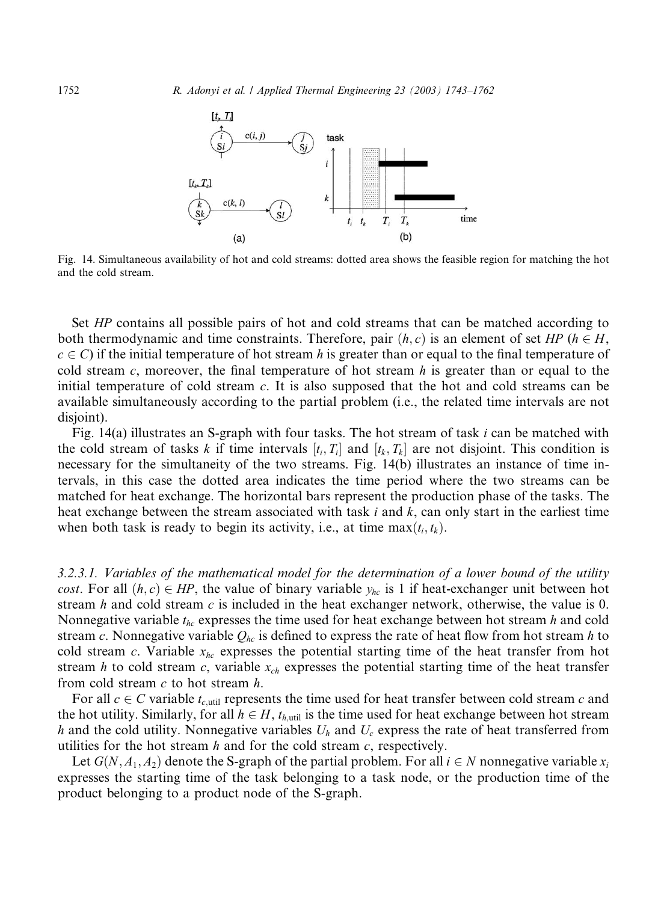

Fig. 14. Simultaneous availability of hot and cold streams: dotted area shows the feasible region for matching the hot and the cold stream.

Set HP contains all possible pairs of hot and cold streams that can be matched according to both thermodynamic and time constraints. Therefore, pair  $(h, c)$  is an element of set HP ( $h \in H$ ,  $c \in C$ ) if the initial temperature of hot stream h is greater than or equal to the final temperature of cold stream c, moreover, the final temperature of hot stream h is greater than or equal to the initial temperature of cold stream c. It is also supposed that the hot and cold streams can be available simultaneously according to the partial problem (i.e., the related time intervals are not disjoint).

Fig. 14(a) illustrates an S-graph with four tasks. The hot stream of task i can be matched with the cold stream of tasks k if time intervals  $[t_i, T_i]$  and  $[t_k, T_k]$  are not disjoint. This condition is necessary for the simultaneity of the two streams. Fig. 14(b) illustrates an instance of time intervals, in this case the dotted area indicates the time period where the two streams can be matched for heat exchange. The horizontal bars represent the production phase of the tasks. The heat exchange between the stream associated with task i and  $k$ , can only start in the earliest time when both task is ready to begin its activity, i.e., at time  $\max(t_i, t_k)$ .

3.2.3.1. Variables of the mathematical model for the determination of a lower bound of the utility cost. For all  $(h, c) \in HP$ , the value of binary variable  $y_{hc}$  is 1 if heat-exchanger unit between hot stream h and cold stream c is included in the heat exchanger network, otherwise, the value is 0. Nonnegative variable  $t_{hc}$  expresses the time used for heat exchange between hot stream h and cold stream c. Nonnegative variable  $Q_{hc}$  is defined to express the rate of heat flow from hot stream h to cold stream c. Variable  $x_{hc}$  expresses the potential starting time of the heat transfer from hot stream h to cold stream c, variable  $x<sub>ch</sub>$  expresses the potential starting time of the heat transfer from cold stream  $c$  to hot stream  $h$ .

For all  $c \in C$  variable  $t_{c,\text{util}}$  represents the time used for heat transfer between cold stream c and the hot utility. Similarly, for all  $h \in H$ ,  $t_{h,\text{util}}$  is the time used for heat exchange between hot stream h and the cold utility. Nonnegative variables  $U_h$  and  $U_c$  express the rate of heat transferred from utilities for the hot stream  $h$  and for the cold stream  $c$ , respectively.

Let  $G(N, A_1, A_2)$  denote the S-graph of the partial problem. For all  $i \in N$  nonnegative variable  $x_i$ expresses the starting time of the task belonging to a task node, or the production time of the product belonging to a product node of the S-graph.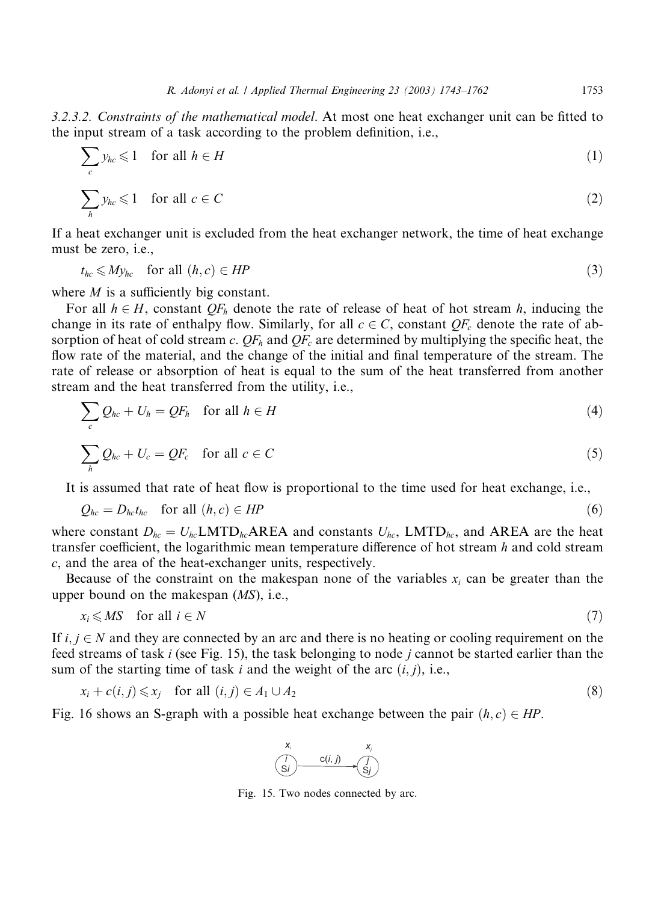3.2.3.2. Constraints of the mathematical model. At most one heat exchanger unit can be fitted to the input stream of a task according to the problem definition, i.e.,

$$
\sum_{c} y_{hc} \leqslant 1 \quad \text{for all } h \in H
$$
 (1)

$$
\sum_{h} y_{hc} \leqslant 1 \quad \text{for all } c \in C
$$
 (2)

If a heat exchanger unit is excluded from the heat exchanger network, the time of heat exchange must be zero, i.e.,

$$
t_{hc} \leqslant M y_{hc} \quad \text{for all } (h, c) \in HP
$$
\n
$$
(3)
$$

where  $M$  is a sufficiently big constant.

For all  $h \in H$ , constant  $QF_h$  denote the rate of release of heat of hot stream h, inducing the change in its rate of enthalpy flow. Similarly, for all  $c \in C$ , constant  $QF_c$  denote the rate of absorption of heat of cold stream c.  $OF<sub>b</sub>$  and  $OF<sub>c</sub>$  are determined by multiplying the specific heat, the flow rate of the material, and the change of the initial and final temperature of the stream. The rate of release or absorption of heat is equal to the sum of the heat transferred from another stream and the heat transferred from the utility, i.e.,

$$
\sum_{c} Q_{hc} + U_h = QF_h \quad \text{for all } h \in H
$$
 (4)

$$
\sum_{h} Q_{hc} + U_c = QF_c \quad \text{for all } c \in C
$$
 (5)

It is assumed that rate of heat flow is proportional to the time used for heat exchange, i.e.,

$$
Q_{hc} = D_{hc} t_{hc} \quad \text{for all } (h, c) \in HP
$$
 (6)

where constant  $D_{hc} = U_{hc} LMTD_{hc} AREA$  and constants  $U_{hc}$ , LMTD<sub>hc</sub>, and AREA are the heat transfer coefficient, the logarithmic mean temperature difference of hot stream  $h$  and cold stream c, and the area of the heat-exchanger units, respectively.

Because of the constraint on the makespan none of the variables  $x_i$  can be greater than the upper bound on the makespan (MS), i.e.,

$$
x_i \leqslant MS \quad \text{for all } i \in N
$$
\n<sup>(7)</sup>

If  $i, j \in N$  and they are connected by an arc and there is no heating or cooling requirement on the feed streams of task i (see Fig. 15), the task belonging to node j cannot be started earlier than the sum of the starting time of task i and the weight of the arc  $(i, j)$ , i.e.,

$$
x_i + c(i, j) \le x_j \quad \text{for all } (i, j) \in A_1 \cup A_2 \tag{8}
$$

Fig. 16 shows an S-graph with a possible heat exchange between the pair  $(h, c) \in HP$ .



Fig. 15. Two nodes connected by arc.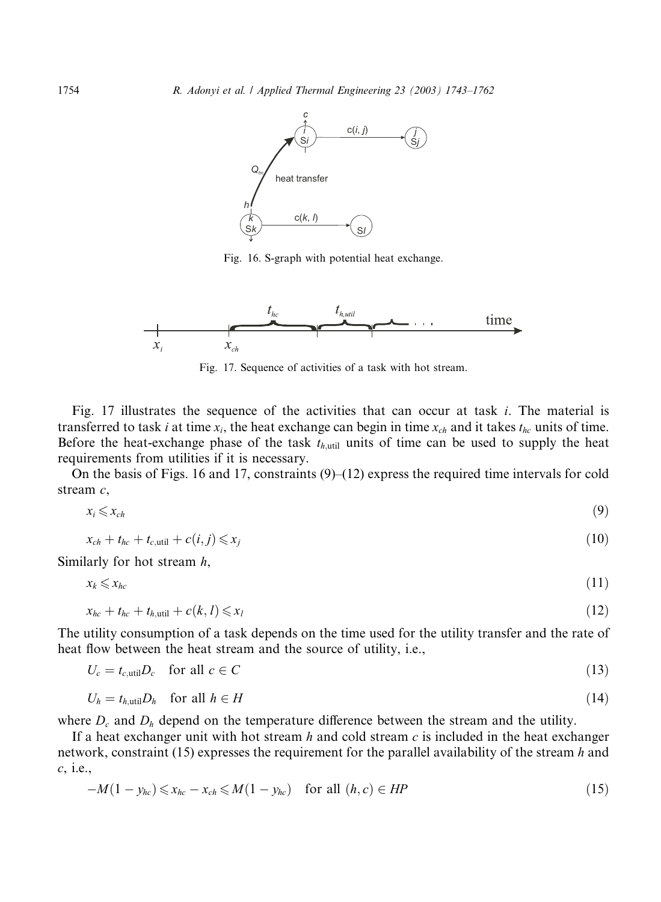

Fig. 16. S-graph with potential heat exchange.



Fig. 17. Sequence of activities of a task with hot stream.

Fig. 17 illustrates the sequence of the activities that can occur at task  $i$ . The material is transferred to task *i* at time  $x_i$ , the heat exchange can begin in time  $x_{ch}$  and it takes  $t_{hc}$  units of time. Before the heat-exchange phase of the task  $t_{h,\text{util}}$  units of time can be used to supply the heat requirements from utilities if it is necessary.

On the basis of Figs. 16 and 17, constraints (9)–(12) express the required time intervals for cold stream c,

$$
x_i \leq x_{ch} \tag{9}
$$

$$
x_{ch} + t_{hc} + t_{c, \text{util}} + c(i, j) \leq x_j \tag{10}
$$

Similarly for hot stream  $h$ ,

$$
x_k \leq x_{hc} \tag{11}
$$

$$
x_{hc} + t_{hc} + t_{h, \text{util}} + c(k, l) \leq x_l \tag{12}
$$

The utility consumption of a task depends on the time used for the utility transfer and the rate of heat flow between the heat stream and the source of utility, i.e.,

$$
U_c = t_{c,\text{util}} D_c \quad \text{for all } c \in C
$$
\n
$$
(13)
$$

$$
U_h = t_{h,\text{util}} D_h \quad \text{for all } h \in H \tag{14}
$$

where  $D_c$  and  $D_h$  depend on the temperature difference between the stream and the utility.

If a heat exchanger unit with hot stream h and cold stream  $c$  is included in the heat exchanger network, constraint (15) expresses the requirement for the parallel availability of the stream h and c, i.e.,

$$
-M(1 - y_{hc}) \leq x_{hc} - x_{ch} \leq M(1 - y_{hc}) \quad \text{for all } (h, c) \in HP
$$
\n
$$
(15)
$$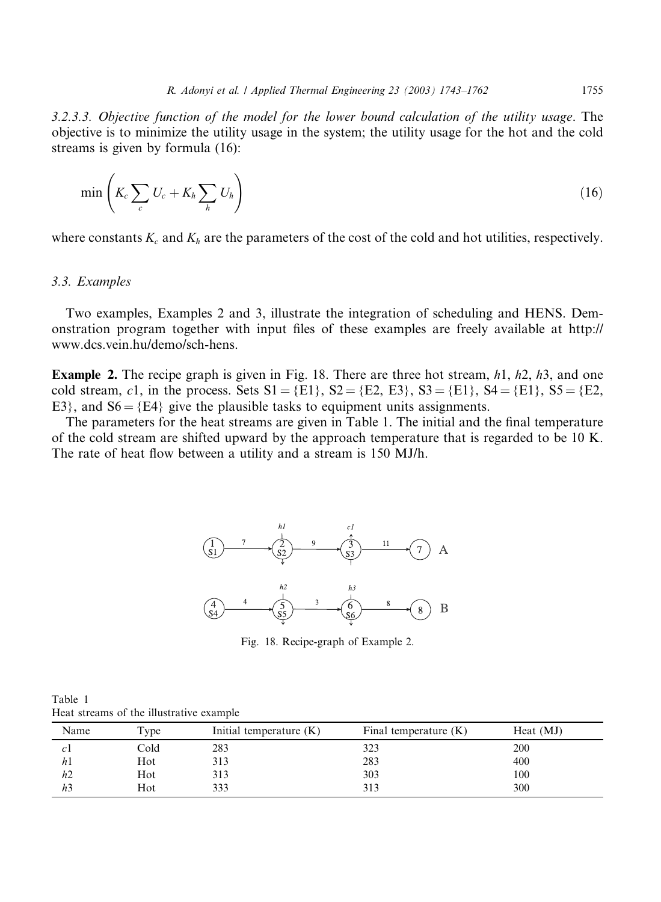3.2.3.3. Objective function of the model for the lower bound calculation of the utility usage. The objective is to minimize the utility usage in the system; the utility usage for the hot and the cold streams is given by formula (16):

$$
\min\left(K_c\sum_c U_c + K_h\sum_h U_h\right) \tag{16}
$$

where constants  $K_c$  and  $K_h$  are the parameters of the cost of the cold and hot utilities, respectively.

### 3.3. Examples

Two examples, Examples 2 and 3, illustrate the integration of scheduling and HENS. Demonstration program together with input files of these examples are freely available at http:// www.dcs.vein.hu/demo/sch-hens.

**Example 2.** The recipe graph is given in Fig. 18. There are three hot stream,  $h1$ ,  $h2$ ,  $h3$ , and one cold stream, c1, in the process. Sets  $S1 = {E1}$ ,  $S2 = {E2, E3}$ ,  $S3 = {E1}$ ,  $S4 = {E1}$ ,  $S5 = {E2}$ , E3}, and  $S6 = {E4}$  give the plausible tasks to equipment units assignments.

The parameters for the heat streams are given in Table 1. The initial and the final temperature of the cold stream are shifted upward by the approach temperature that is regarded to be 10K. The rate of heat flow between a utility and a stream is 150MJ/h.



Fig. 18. Recipe-graph of Example 2.

Table 1 Heat streams of the illustrative example

| Name           | Type | Initial temperature $(K)$ | Final temperature $(K)$ | Heat $(MJ)$ |
|----------------|------|---------------------------|-------------------------|-------------|
| c <sub>1</sub> | Cold | 283                       | 323                     | 200         |
| hl             | Hot  | 313                       | 283                     | 400         |
| h2             | Hot  | 313                       | 303                     | 100         |
| h3             | Hot  | 333                       | 313                     | 300         |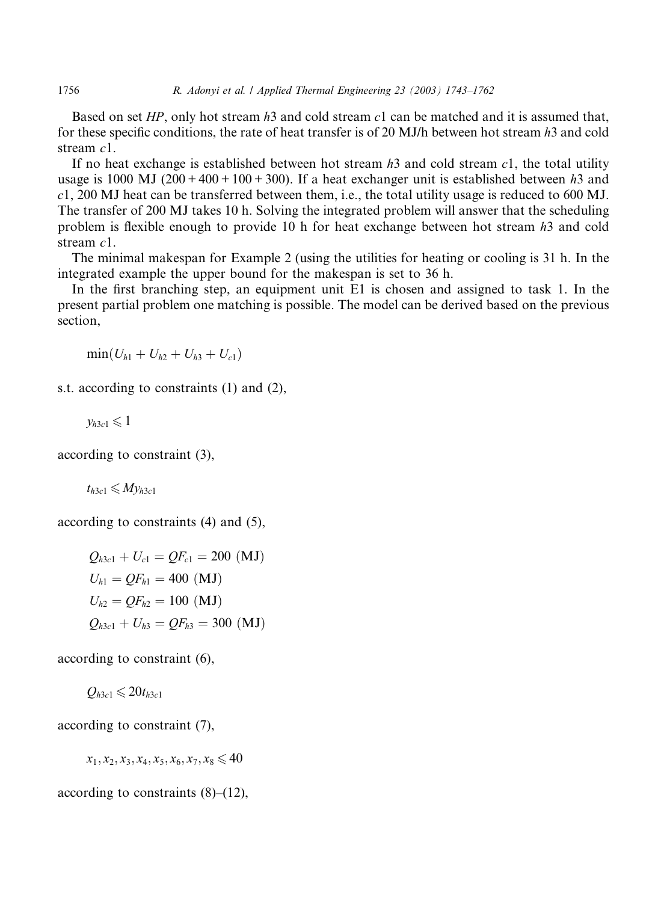Based on set  $HP$ , only hot stream  $h3$  and cold stream  $c1$  can be matched and it is assumed that, for these specific conditions, the rate of heat transfer is of 20 MJ/h between hot stream  $h<sub>3</sub>$  and cold stream c1

If no heat exchange is established between hot stream  $h3$  and cold stream  $c1$ , the total utility usage is 1000 MJ (200 + 400 + 100 + 300). If a heat exchanger unit is established between  $h3$  and c1, 200 MJ heat can be transferred between them, i.e., the total utility usage is reduced to 600 MJ. The transfer of 200 MJ takes 10 h. Solving the integrated problem will answer that the scheduling problem is flexible enough to provide 10 h for heat exchange between hot stream  $h3$  and cold stream c1.

The minimal makespan for Example 2 (using the utilities for heating or cooling is 31 h. In the integrated example the upper bound for the makespan is set to 36 h.

In the first branching step, an equipment unit E1 is chosen and assigned to task 1. In the present partial problem one matching is possible. The model can be derived based on the previous section,

 $min(U_{h1} + U_{h2} + U_{h3} + U_{c1})$ 

s.t. according to constraints (1) and (2),

 $v_{h3c1} \leq 1$ 

according to constraint (3),

 $t_{h3c1} \leqslant Mv_{h3c1}$ 

according to constraints (4) and (5),

$$
Q_{h3c1} + U_{c1} = QF_{c1} = 200
$$
 (MJ)  
\n $U_{h1} = QF_{h1} = 400$  (MJ)  
\n $U_{h2} = QF_{h2} = 100$  (MJ)  
\n $Q_{h3c1} + U_{h3} = QF_{h3} = 300$  (MJ)

according to constraint (6),

 $Q_{h3c1} \leqslant 20t_{h3c1}$ 

according to constraint (7),

 $x_1, x_2, x_3, x_4, x_5, x_6, x_7, x_8 \leq 40$ 

according to constraints (8)–(12),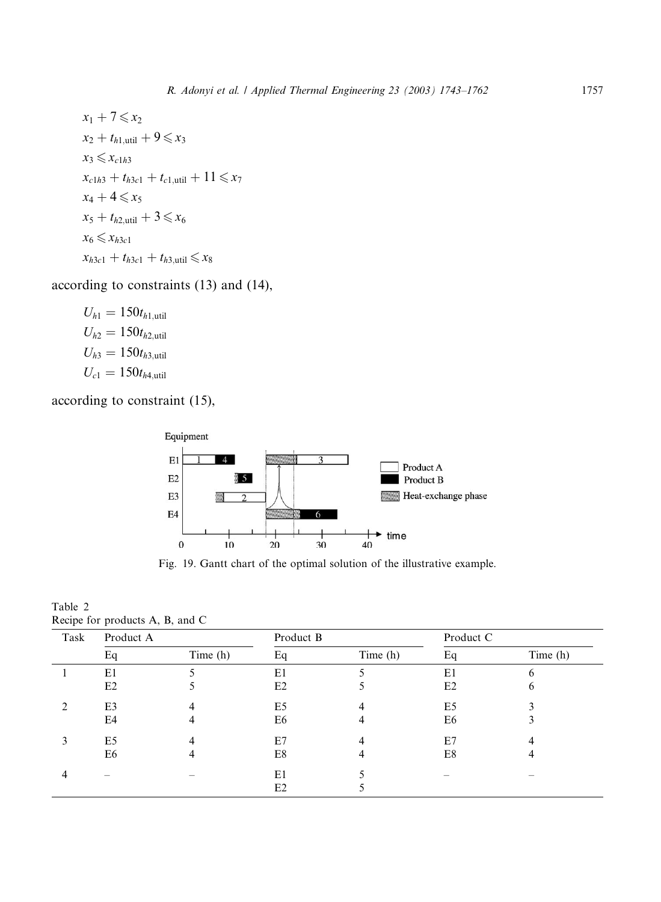```
x_1 + 7 \leq x_2x_2 + t_{h1,\text{util}} + 9 \leq x_3x_3 \leqslant x_{c1h3}x_{c1h3} + t_{h3c1} + t_{c1,\text{util}} + 11 \leq x_7x_4 + 4 \leq x_5x_5 + t_{h2,\text{util}} + 3 \leq x_6x_6 \leq x_{h3c1}x_{h3c1} + t_{h3c1} + t_{h3, \text{util}} \leq x_8
```
according to constraints (13) and (14),

$$
U_{h1} = 150t_{h1,\text{util}}
$$
  
\n
$$
U_{h2} = 150t_{h2,\text{util}}
$$
  
\n
$$
U_{h3} = 150t_{h3,\text{util}}
$$
  
\n
$$
U_{c1} = 150t_{h4,\text{util}}
$$

according to constraint (15),



Fig. 19. Gantt chart of the optimal solution of the illustrative example.

Table 2 Recipe for products A, B, and C

| Task | Product A      |          | Product B      |          | Product C      |              |
|------|----------------|----------|----------------|----------|----------------|--------------|
|      | Eq             | Time (h) | Eq             | Time (h) | Eq             | Time (h)     |
|      | E1             |          | E1             |          | E1             | <sub>0</sub> |
|      | E2             |          | E2             |          | E2             |              |
|      | E <sub>3</sub> | 4        | E <sub>5</sub> |          | E <sub>5</sub> |              |
|      | E4             | 4        | E <sub>6</sub> |          | E6             |              |
| 3    | E <sub>5</sub> | 4        | E7             |          | E7             |              |
|      | E6             |          | E8             |          | E8             |              |
|      |                |          | E1             |          |                |              |
|      |                |          | E2             |          |                |              |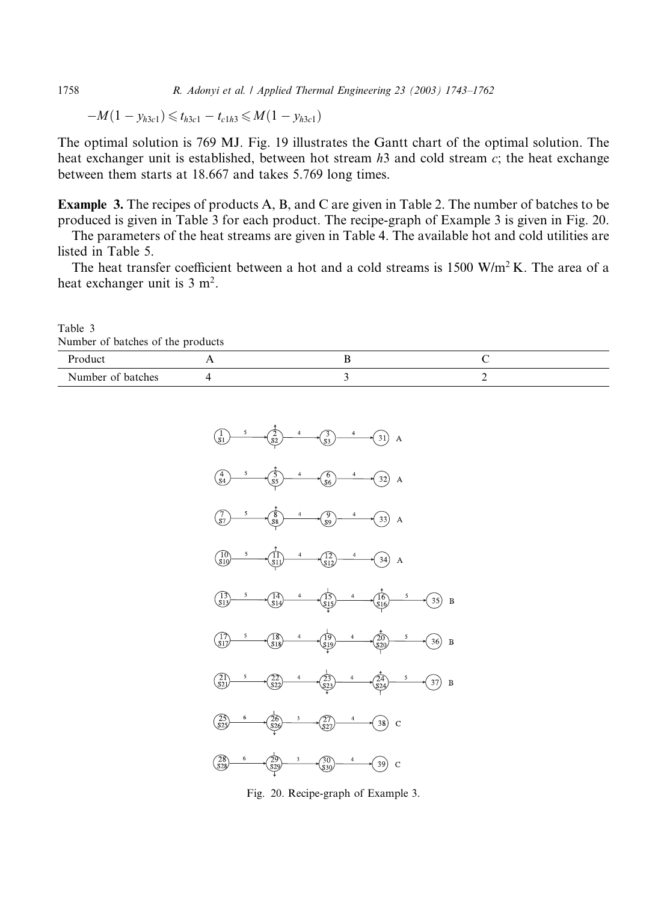$$
-M(1 - y_{h3c1}) \leq t_{h3c1} - t_{c1h3} \leq M(1 - y_{h3c1})
$$

The optimal solution is 769 MJ. Fig. 19 illustrates the Gantt chart of the optimal solution. The heat exchanger unit is established, between hot stream  $h3$  and cold stream  $c$ ; the heat exchange between them starts at 18.667 and takes 5.769 long times.

Example 3. The recipes of products A, B, and C are given in Table 2. The number of batches to be produced is given in Table 3 for each product. The recipe-graph of Example 3 is given in Fig. 20.

The parameters of the heat streams are given in Table 4. The available hot and cold utilities are listed in Table 5.

The heat transfer coefficient between a hot and a cold streams is 1500 W/m2 K. The area of a heat exchanger unit is  $3 \text{ m}^2$ .

| Table 3                           |  |  |  |  |  |
|-----------------------------------|--|--|--|--|--|
| Number of batches of the products |  |  |  |  |  |
| Product                           |  |  |  |  |  |
| Number of batches                 |  |  |  |  |  |



Fig. 20. Recipe-graph of Example 3.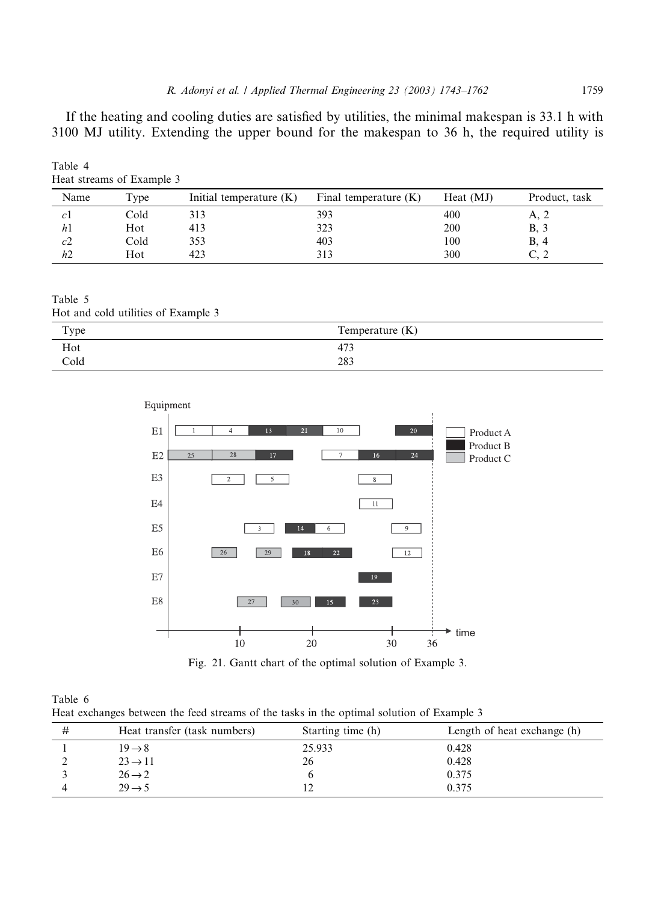If the heating and cooling duties are satisfied by utilities, the minimal makespan is 33.1 h with 3100 MJ utility. Extending the upper bound for the makespan to 36 h, the required utility is

Table 4 Heat streams of Example 3

| Name | Type | Initial temperature $(K)$ | Final temperature $(K)$ | Heat $(MJ)$ | Product, task        |
|------|------|---------------------------|-------------------------|-------------|----------------------|
| Сl   | Cold | 313                       | 393                     | 400         | A. 2                 |
| h1   | Hot  | 413                       | 323                     | 200         | <b>B</b> , 3         |
| c2   | Cold | 353                       | 403                     | 100         | B, 4                 |
| h2   | Hot  | 423                       | 313                     | 300         | $\cap$ $\cap$<br>U.Z |

Table 5 Hot and cold utilities of Example 3

| Type | Temperature $(K)$ |
|------|-------------------|
| Hot  | 473               |
| Cold | 283               |



Fig. 21. Gantt chart of the optimal solution of Example 3.

| Table 6                                                                                   |  |  |  |  |  |  |
|-------------------------------------------------------------------------------------------|--|--|--|--|--|--|
| Heat exchanges between the feed streams of the tasks in the optimal solution of Example 3 |  |  |  |  |  |  |

| Heat transfer (task numbers) | Starting time (h) | Length of heat exchange (h) |
|------------------------------|-------------------|-----------------------------|
| $19 \rightarrow 8$           | 25.933            | 0.428                       |
| $23 \rightarrow 11$          | 26                | 0.428                       |
| $26 \rightarrow 2$           |                   | 0.375                       |
| $29 \rightarrow 5$           |                   | 0.375                       |
|                              |                   |                             |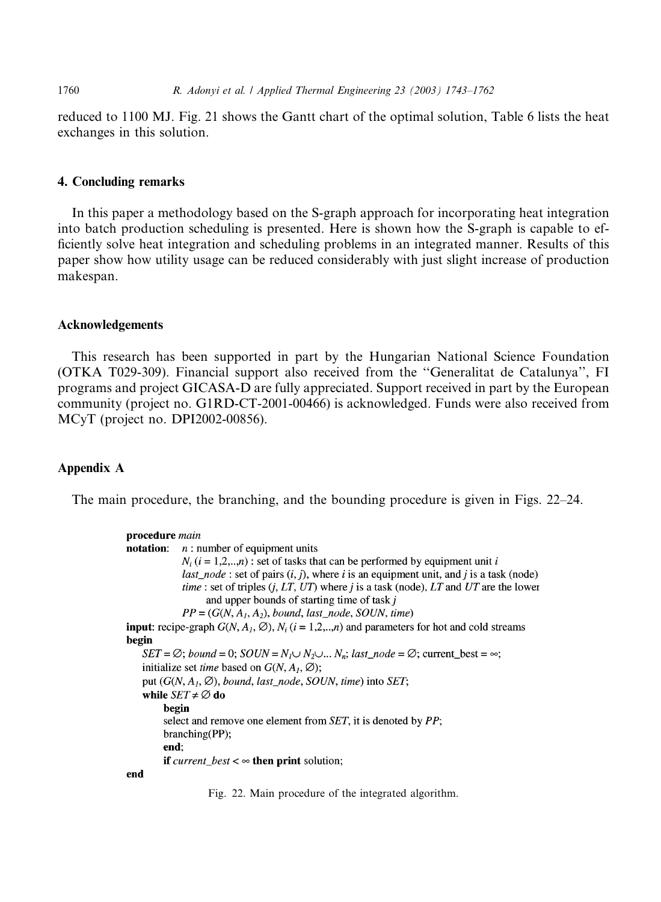1760 R. Adonyi et al. / Applied Thermal Engineering 23 (2003) 1743–1762

reduced to 1100 MJ. Fig. 21 shows the Gantt chart of the optimal solution, Table 6 lists the heat exchanges in this solution.

# 4. Concluding remarks

In this paper a methodology based on the S-graph approach for incorporating heat integration into batch production scheduling is presented. Here is shown how the S-graph is capable to efficiently solve heat integration and scheduling problems in an integrated manner. Results of this paper show how utility usage can be reduced considerably with just slight increase of production makespan.

# Acknowledgements

This research has been supported in part by the Hungarian National Science Foundation (OTKA T029-309). Financial support also received from the ''Generalitat de Catalunya'', FI programs and project GICASA-D are fully appreciated. Support received in part by the European community (project no. G1RD-CT-2001-00466) is acknowledged. Funds were also received from MCyT (project no. DPI2002-00856).

# Appendix A

The main procedure, the branching, and the bounding procedure is given in Figs. 22–24.

| procedure main |                                                                                                                       |
|----------------|-----------------------------------------------------------------------------------------------------------------------|
| notation:      | $n:$ number of equipment units                                                                                        |
|                | $N_i$ ( $i = 1,2,,n$ ) : set of tasks that can be performed by equipment unit i                                       |
|                | <i>last_node</i> : set of pairs $(i, j)$ , where i is an equipment unit, and j is a task (node)                       |
|                | time : set of triples $(j, LT, UT)$ where j is a task (node), LT and UT are the lower                                 |
|                | and upper bounds of starting time of task j                                                                           |
|                | $PP = (G(N, A1, A2), bound, last\_node, SOUN, time)$                                                                  |
|                | <b>input:</b> recipe-graph $G(N, A_1, \emptyset)$ , $N_i$ ( $i = 1, 2, , n$ ) and parameters for hot and cold streams |
| begin          |                                                                                                                       |
|                | $SET = \emptyset$ ; bound = 0; $SOUN = N_1 \cup N_2 \cup  N_n$ ; last_node = $\emptyset$ ; current_best = $\infty$ ;  |
|                | initialize set <i>time</i> based on $G(N, A_1, \emptyset)$ ;                                                          |
|                | put $(G(N, A1, \emptyset))$ , bound, last node, SOUN, time) into SET;                                                 |
|                | while $SET \neq \emptyset$ do                                                                                         |
|                | begin                                                                                                                 |
|                | select and remove one element from <i>SET</i> , it is denoted by <i>PP</i> ;                                          |
|                | branching(PP);                                                                                                        |
|                | end:                                                                                                                  |
|                | <b>if</b> current_best < $\infty$ then print solution;                                                                |
| end            |                                                                                                                       |

Fig. 22. Main procedure of the integrated algorithm.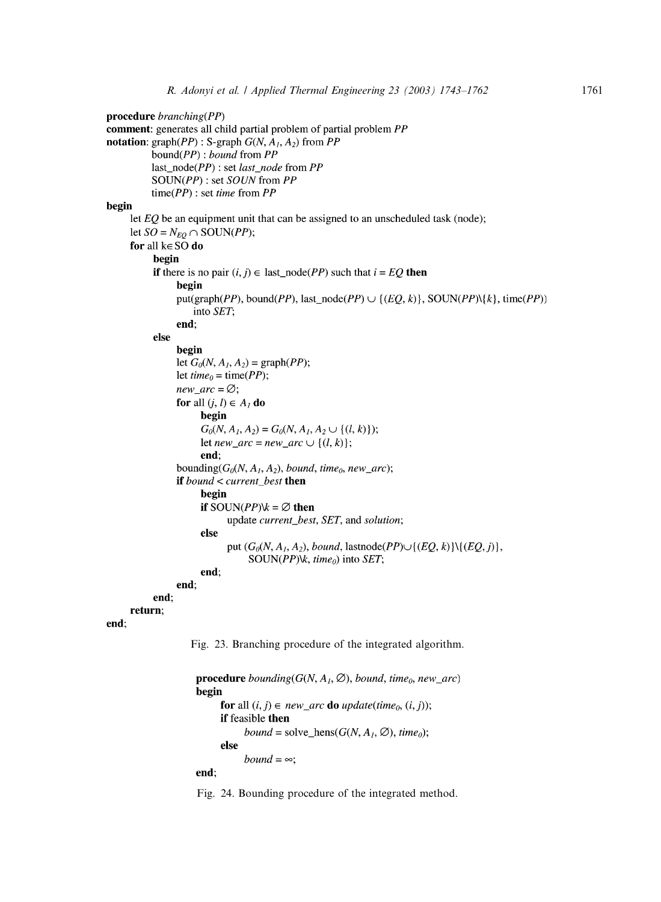```
procedure branching(PP)comment: generates all child partial problem of partial problem PP
notation: graph(PP) : S-graph G(N, A_1, A_2) from PPbound(PP): bound from PPlast_node(PP) : set last_node from PPSOUN(PP): set SOUN from PPtime(PP): set time from PPbegin
     let EQ be an equipment unit that can be assigned to an unscheduled task (node);
     let SO = N_{EO} \cap \text{SOUN}(PP);
     for all k \in SO do
           begin
           if there is no pair (i, j) \in last_node(PP) such that i = EQ then
                begin
                put(graph(PP), bound(PP), last_node(PP) \cup {(EQ, k)}, SOUN(PP)\{k}, time(PP))
                    into SET:
                end:
           else
                begin
                let G_0(N, A_1, A_2) = graph(PP);
                let time_0 = time(PP);
                new\_arc = \emptyset;
                for all (i, l) \in A_1 do
                      begin
                      G_0(N, A_1, A_2) = G_0(N, A_1, A_2 \cup \{(l, k)\});let new_arc = new_arc \cup {(l, k)};
                      end:
                bounding(G_0(N, A_1, A_2), bound, time<sub>0</sub>, new_arc);
                if bound < current\_best then
                      begin
                      if SOUN(PP)\& = \emptyset then
                             update current_best, SET, and solution;
                      else
                             put (G_0(N, A_1, A_2), bound, lastnode(PP) \cup \{(EQ, k)\} \setminus \{(EQ, j)\},SOUN(PP)\k, time<sub>0</sub>) into SET;
                      end;
                end;
           end;
     return:
end;
                    Fig. 23. Branching procedure of the integrated algorithm.
                     procedure bounding(G(N, A_1, \emptyset)), bound, time<sub>0</sub>, new arc)
                     begin
                           for all (i, j) \in new\_arc do update(time<sub>0</sub>, (i, j));
                           if feasible then
```
else

bound =  $\infty$ ;

end:

Fig. 24. Bounding procedure of the integrated method.

*bound* = solve\_hens( $G(N, A<sub>1</sub>, \emptyset)$ , time<sub>0</sub>);